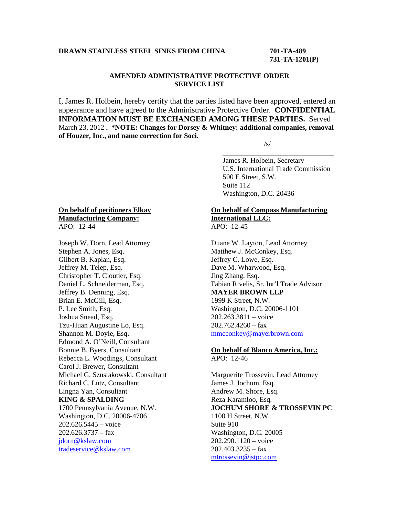# **DRAWN STAINLESS STEEL SINKS FROM CHINA 701-TA-489**

# **731-TA-1201(P)**

# **AMENDED ADMINISTRATIVE PROTECTIVE ORDER SERVICE LIST**

I, James R. Holbein, hereby certify that the parties listed have been approved, entered an appearance and have agreed to the Administrative Protective Order. **CONFIDENTIAL INFORMATION MUST BE EXCHANGED AMONG THESE PARTIES.** Served March 23, 2012 **. \*NOTE: Changes for Dorsey & Whitney: additional companies, removal of Houzer, Inc., and name correction for Soci.** 

 $\overline{\phantom{a}}$  , and the contract of the contract of the contract of the contract of the contract of the contract of the contract of the contract of the contract of the contract of the contract of the contract of the contrac

 $\sqrt{s}$ /s/

 James R. Holbein, Secretary U.S. International Trade Commission 500 E Street, S.W. Suite 112 Washington, D.C. 20436

## **On behalf of petitioners Elkay Manufacturing Company:** APO: 12-44

Joseph W. Dorn, Lead Attorney Stephen A. Jones, Esq. Gilbert B. Kaplan, Esq. Jeffrey M. Telep, Esq. Christopher T. Cloutier, Esq. Daniel L. Schneiderman, Esq. Jeffrey B. Denning, Esq. Brian E. McGill, Esq. P. Lee Smith, Esq. Joshua Snead, Esq. Tzu-Huan Augustine Lo, Esq. Shannon M. Doyle, Esq. Edmond A. O'Neill, Consultant Bonnie B. Byers, Consultant Rebecca L. Woodings, Consultant Carol J. Brewer, Consultant Michael G. Szustakowski, Consultant Richard C. Lutz, Consultant Lingna Yan, Consultant **KING & SPALDING** 1700 Pennsylvania Avenue, N.W. Washington, D.C. 20006-4706 202.626.5445 – voice  $202.626.3737 - fax$ jdorn@kslaw.com tradeservice@kslaw.com

#### **On behalf of Compass Manufacturing International LLC:** APO: 12-45

Duane W. Layton, Lead Attorney Matthew J. McConkey, Esq. Jeffrey C. Lowe, Esq. Dave M. Wharwood, Esq. Jing Zhang, Esq. Fabian Rivelis, Sr. Int'l Trade Advisor **MAYER BROWN LLP** 1999 K Street, N.W. Washington, D.C. 20006-1101 202.263.3811 – voice  $202.762.4260 - fax$ mmcconkey@mayerbrown.com

## **On behalf of Blanco America, Inc.:** APO: 12-46

Marguerite Trossevin, Lead Attorney James J. Jochum, Esq. Andrew M. Shore, Esq. Reza Karamloo, Esq. **JOCHUM SHORE & TROSSEVIN PC** 1100 H Street, N.W. Suite 910 Washington, D.C. 20005 202.290.1120 – voice  $202.403.3235 - fax$ mtrossevin@jstpc.com